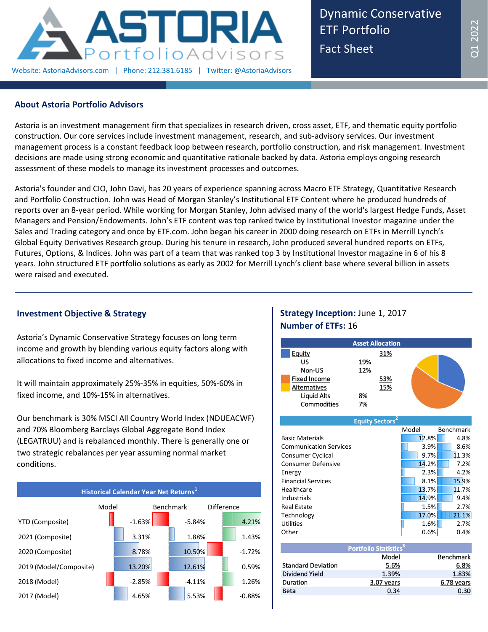

Dynamic Conservative ETF Portfolio Fact Sheet

# **About Astoria Portfolio Advisors**

Astoria is an investment management firm that specializes in research driven, cross asset, ETF, and thematic equity portfolio construction. Our core services include investment management, research, and sub-advisory services. Our investment management process is a constant feedback loop between research, portfolio construction, and risk management. Investment decisions are made using strong economic and quantitative rationale backed by data. Astoria employs ongoing research assessment of these models to manage its investment processes and outcomes.

Astoria's founder and CIO, John Davi, has 20 years of experience spanning across Macro ETF Strategy, Quantitative Research and Portfolio Construction. John was Head of Morgan Stanley's Institutional ETF Content where he produced hundreds of reports over an 8-year period. While working for Morgan Stanley, John advised many of the world's largest Hedge Funds, Asset Managers and Pension/Endowments. John's ETF content was top ranked twice by Institutional Investor magazine under the Sales and Trading category and once by ETF.com. John began his career in 2000 doing research on ETFs in Merrill Lynch's Global Equity Derivatives Research group. During his tenure in research, John produced several hundred reports on ETFs, Futures, Options, & Indices. John was part of a team that was ranked top 3 by Institutional Investor magazine in 6 of his 8 years. John structured ETF portfolio solutions as early as 2002 for Merrill Lynch's client base where several billion in assets were raised and executed.

### **Investment Objective & Strategy**

Astoria's Dynamic Conservative Strategy focuses on long term income and growth by blending various equity factors along with allocations to fixed income and alternatives.

It will maintain approximately 25%-35% in equities, 50%-60% in fixed income, and 10%-15% in alternatives.

Our benchmark is 30% MSCI All Country World Index (NDUEACWF) and 70% Bloomberg Barclays Global Aggregate Bond Index (LEGATRUU) and is rebalanced monthly. There is generally one or two strategic rebalances per year assuming normal market conditions.



# **Strategy Inception:** June 1, 2017 **Number of ETFs:** 16



| <b>Equity Sectors</b>         |       |       |           |
|-------------------------------|-------|-------|-----------|
|                               | Model |       | Benchmark |
| <b>Basic Materials</b>        |       | 12.8% | 4.8%      |
| <b>Communication Services</b> |       | 3.9%  | 8.6%      |
| Consumer Cyclical             |       | 9.7%  | 11.3%     |
| <b>Consumer Defensive</b>     |       | 14.2% | 7.2%      |
| Energy                        |       | 2.3%  | 4.2%      |
| <b>Financial Services</b>     |       | 8.1%  | 15.9%     |
| Healthcare                    |       | 13.7% | 11.7%     |
| <b>Industrials</b>            |       | 14.9% | 9.4%      |
| <b>Real Estate</b>            |       | 1.5%  | 2.7%      |
| Technology                    |       | 17.0% | 21.1%     |
| <b>Utilities</b>              |       | 1.6%  | 2.7%      |
| Other                         |       | 0.6%  | 0.4%      |

| <b>Portfolio Statistics<sup>3</sup></b> |                  |
|-----------------------------------------|------------------|
| Model                                   | <b>Benchmark</b> |
| 5.6%                                    | 6.8%             |
| 1.39%                                   | 1.83%            |
| 3.07 years                              | 6.78 years       |
|                                         |                  |
|                                         |                  |